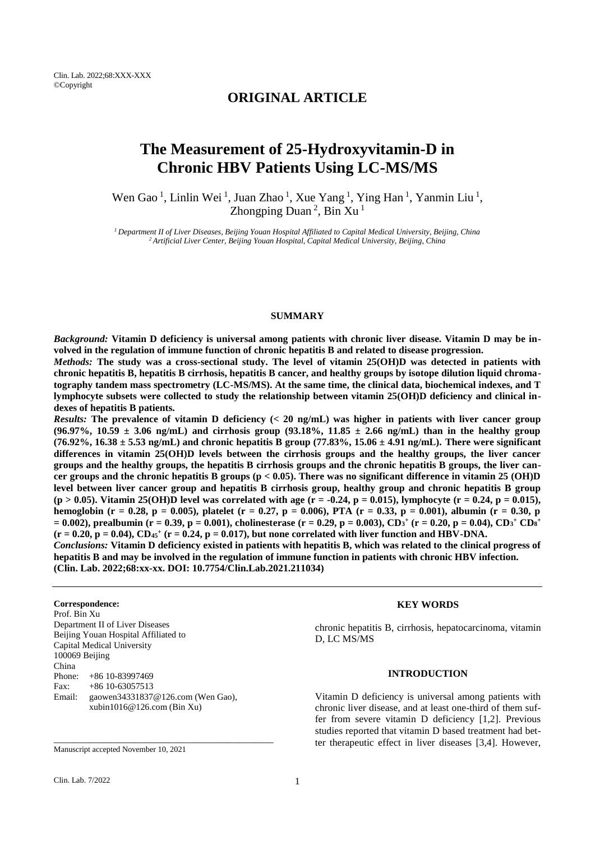# **ORIGINAL ARTICLE**

# **The Measurement of 25-Hydroxyvitamin-D in Chronic HBV Patients Using LC-MS/MS**

Wen Gao<sup>1</sup>, Linlin Wei<sup>1</sup>, Juan Zhao<sup>1</sup>, Xue Yang<sup>1</sup>, Ying Han<sup>1</sup>, Yanmin Liu<sup>1</sup>, Zhongping Duan<sup>2</sup>, Bin Xu<sup>1</sup>

*<sup>1</sup>Department II of Liver Diseases, Beijing Youan Hospital Affiliated to Capital Medical University, Beijing, China <sup>2</sup>Artificial Liver Center, Beijing Youan Hospital, Capital Medical University, Beijing, China*

#### **SUMMARY**

*Background:* **Vitamin D deficiency is universal among patients with chronic liver disease. Vitamin D may be involved in the regulation of immune function of chronic hepatitis B and related to disease progression.**

*Methods:* **The study was a cross-sectional study. The level of vitamin 25(OH)D was detected in patients with chronic hepatitis B, hepatitis B cirrhosis, hepatitis B cancer, and healthy groups by isotope dilution liquid chromatography tandem mass spectrometry (LC-MS/MS). At the same time, the clinical data, biochemical indexes, and T lymphocyte subsets were collected to study the relationship between vitamin 25(OH)D deficiency and clinical indexes of hepatitis B patients.**

*Results:* **The prevalence of vitamin D deficiency (< 20 ng/mL) was higher in patients with liver cancer group (96.97%, 10.59 ± 3.06 ng/mL) and cirrhosis group (93.18%, 11.85 ± 2.66 ng/mL) than in the healthy group (76.92%, 16.38 ± 5.53 ng/mL) and chronic hepatitis B group (77.83%, 15.06 ± 4.91 ng/mL). There were significant differences in vitamin 25(OH)D levels between the cirrhosis groups and the healthy groups, the liver cancer groups and the healthy groups, the hepatitis B cirrhosis groups and the chronic hepatitis B groups, the liver cancer groups and the chronic hepatitis B groups (p < 0.05). There was no significant difference in vitamin 25 (OH)D level between liver cancer group and hepatitis B cirrhosis group, healthy group and chronic hepatitis B group**   $(p > 0.05)$ . Vitamin 25(OH)D level was correlated with age  $(r = -0.24, p = 0.015)$ , lymphocyte  $(r = 0.24, p = 0.015)$ , **hemoglobin (r = 0.28, p = 0.005), platelet (r = 0.27, p = 0.006), PTA (r = 0.33, p = 0.001), albumin (r = 0.30, p = 0.002), prealbumin (r = 0.39, p = 0.001), cholinesterase (r = 0.29, p = 0.003), CD<sup>3</sup> + (r = 0.20, p = 0.04), CD<sup>3</sup> <sup>+</sup> CD<sup>8</sup> +**  $(r = 0.20, p = 0.04)$ ,  $CD_{45}$ <sup>+</sup>  $(r = 0.24, p = 0.017)$ , but none correlated with liver function and HBV-DNA. *Conclusions:* **Vitamin D deficiency existed in patients with hepatitis B, which was related to the clinical progress of** 

**hepatitis B and may be involved in the regulation of immune function in patients with chronic HBV infection. (Clin. Lab. 2022;68:xx-xx. DOI: 10.7754/Clin.Lab.2021.211034)**

#### **Correspondence:**

Prof. Bin Xu Department II of Liver Diseases Beijing Youan Hospital Affiliated to Capital Medical University 100069 Beijing China Phone: +86 10-83997469 Fax:  $+86$  10-63057513 Email: gaowen34331837@126.com (Wen Gao), [xubin1016@126.com \(Bin](mailto:xubin1016@126.com%20(Bin) Xu)

\_\_\_\_\_\_\_\_\_\_\_\_\_\_\_\_\_\_\_\_\_\_\_\_\_\_\_\_\_\_\_\_\_\_\_\_\_\_\_\_\_\_\_\_

## **KEY WORDS**

chronic hepatitis B, cirrhosis, hepatocarcinoma, vitamin D, LC MS/MS

## **INTRODUCTION**

Vitamin D deficiency is universal among patients with chronic liver disease, and at least one-third of them suffer from severe vitamin D deficiency [1,2]. Previous studies reported that vitamin D based treatment had better therapeutic effect in liver diseases [3,4]. However,

Manuscript accepted November 10, 2021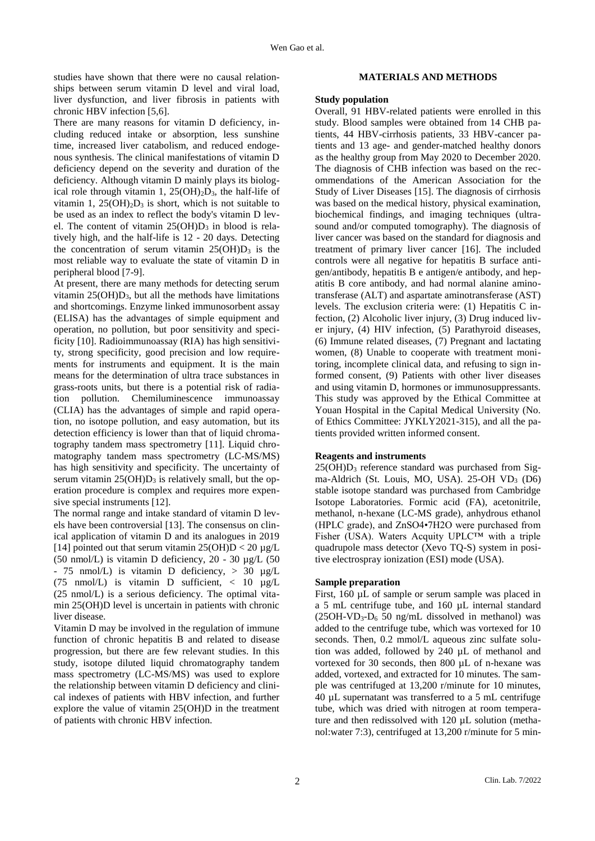studies have shown that there were no causal relationships between serum vitamin D level and viral load, liver dysfunction, and liver fibrosis in patients with chronic HBV infection [5,6].

There are many reasons for vitamin D deficiency, including reduced intake or absorption, less sunshine time, increased liver catabolism, and reduced endogenous synthesis. The clinical manifestations of vitamin D deficiency depend on the severity and duration of the deficiency. Although vitamin D mainly plays its biological role through vitamin 1,  $25(OH)_2D_3$ , the half-life of vitamin 1,  $25(OH)<sub>2</sub>D<sub>3</sub>$  is short, which is not suitable to be used as an index to reflect the body's vitamin D level. The content of vitamin  $25(OH)D_3$  in blood is relatively high, and the half-life is 12 - 20 days. Detecting the concentration of serum vitamin  $25(OH)D_3$  is the most reliable way to evaluate the state of vitamin D in peripheral blood [7-9].

At present, there are many methods for detecting serum vitamin  $25(OH)D_3$ , but all the methods have limitations and shortcomings. Enzyme linked immunosorbent assay (ELISA) has the advantages of simple equipment and operation, no pollution, but poor sensitivity and specificity [10]. Radioimmunoassay (RIA) has high sensitivity, strong specificity, good precision and low requirements for instruments and equipment. It is the main means for the determination of ultra trace substances in grass-roots units, but there is a potential risk of radiation pollution. Chemiluminescence immunoassay (CLIA) has the advantages of simple and rapid operation, no isotope pollution, and easy automation, but its detection efficiency is lower than that of liquid chromatography tandem mass spectrometry [11]. Liquid chromatography tandem mass spectrometry (LC-MS/MS) has high sensitivity and specificity. The uncertainty of serum vitamin  $25(OH)D_3$  is relatively small, but the operation procedure is complex and requires more expensive special instruments [12].

The normal range and intake standard of vitamin D levels have been controversial [13]. The consensus on clinical application of vitamin D and its analogues in 2019 [14] pointed out that serum vitamin  $25(OH)D < 20 \mu g/L$ (50 nmol/L) is vitamin D deficiency, 20 - 30 µg/L (50 - 75 nmol/L) is vitamin D deficiency, > 30 µg/L (75 nmol/L) is vitamin D sufficient, < 10 µg/L (25 nmol/L) is a serious deficiency. The optimal vitamin 25(OH)D level is uncertain in patients with chronic liver disease.

Vitamin D may be involved in the regulation of immune function of chronic hepatitis B and related to disease progression, but there are few relevant studies. In this study, isotope diluted liquid chromatography tandem mass spectrometry (LC-MS/MS) was used to explore the relationship between vitamin D deficiency and clinical indexes of patients with HBV infection, and further explore the value of vitamin 25(OH)D in the treatment of patients with chronic HBV infection.

#### **MATERIALS AND METHODS**

#### **Study population**

Overall, 91 HBV-related patients were enrolled in this study. Blood samples were obtained from 14 CHB patients, 44 HBV-cirrhosis patients, 33 HBV-cancer patients and 13 age- and gender-matched healthy donors as the healthy group from May 2020 to December 2020. The diagnosis of CHB infection was based on the recommendations of the American Association for the Study of Liver Diseases [15]. The diagnosis of cirrhosis was based on the medical history, physical examination, biochemical findings, and imaging techniques (ultrasound and/or computed tomography). The diagnosis of liver cancer was based on the standard for diagnosis and treatment of primary liver cancer [16]. The included controls were all negative for hepatitis B surface antigen/antibody, hepatitis B e antigen/e antibody, and hepatitis B core antibody, and had normal alanine aminotransferase (ALT) and aspartate aminotransferase (AST) levels. The exclusion criteria were: (1) Hepatitis C infection, (2) Alcoholic liver injury, (3) Drug induced liver injury, (4) HIV infection, (5) Parathyroid diseases, (6) Immune related diseases, (7) Pregnant and lactating women, (8) Unable to cooperate with treatment monitoring, incomplete clinical data, and refusing to sign informed consent, (9) Patients with other liver diseases and using vitamin D, hormones or immunosuppressants. This study was approved by the Ethical Committee at Youan Hospital in the Capital Medical University (No. of Ethics Committee: JYKLY2021-315), and all the patients provided written informed consent.

## **Reagents and instruments**

 $25(OH)D<sub>3</sub>$  reference standard was purchased from Sigma-Aldrich (St. Louis, MO, USA).  $25$ -OH VD<sub>3</sub> (D6) stable isotope standard was purchased from Cambridge Isotope Laboratories. Formic acid (FA), acetonitrile, methanol, n-hexane (LC-MS grade), anhydrous ethanol (HPLC grade), and ZnSO4•7H2O were purchased from Fisher (USA). Waters Acquity UPLC™ with a triple quadrupole mass detector (Xevo TQ-S) system in positive electrospray ionization (ESI) mode (USA).

#### **Sample preparation**

First, 160 µL of sample or serum sample was placed in a 5 mL centrifuge tube, and 160 µL internal standard  $(25OH-VD<sub>3</sub>-D<sub>6</sub> 50 ng/mL$  dissolved in methanol) was added to the centrifuge tube, which was vortexed for 10 seconds. Then, 0.2 mmol/L aqueous zinc sulfate solution was added, followed by 240 µL of methanol and vortexed for 30 seconds, then 800 µL of n-hexane was added, vortexed, and extracted for 10 minutes. The sample was centrifuged at 13,200 r/minute for 10 minutes, 40 µL supernatant was transferred to a 5 mL centrifuge tube, which was dried with nitrogen at room temperature and then redissolved with 120 µL solution (methanol:water 7:3), centrifuged at 13,200 r/minute for 5 min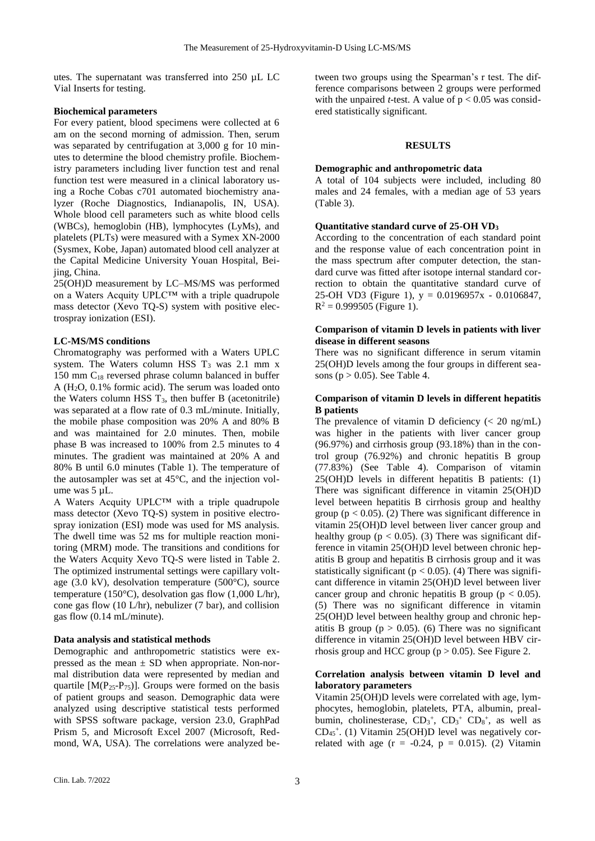utes. The supernatant was transferred into 250 µL LC Vial Inserts for testing.

## **Biochemical parameters**

For every patient, blood specimens were collected at 6 am on the second morning of admission. Then, serum was separated by centrifugation at 3,000 g for 10 minutes to determine the blood chemistry profile. Biochemistry parameters including liver function test and renal function test were measured in a clinical laboratory using a Roche Cobas c701 automated biochemistry analyzer (Roche Diagnostics, Indianapolis, IN, USA). Whole blood cell parameters such as white blood cells (WBCs), hemoglobin (HB), lymphocytes (LyMs), and platelets (PLTs) were measured with a Symex XN-2000 (Sysmex, Kobe, Japan) automated blood cell analyzer at the Capital Medicine University Youan Hospital, Beijing, China.

25(OH)D measurement by LC–MS/MS was performed on a Waters Acquity UPLC™ with a triple quadrupole mass detector (Xevo TQ-S) system with positive electrospray ionization (ESI).

#### **LC-MS/MS conditions**

Chromatography was performed with a Waters UPLC system. The Waters column HSS  $T_3$  was 2.1 mm x 150 mm C<sup>18</sup> reversed phrase column balanced in buffer A (H2O, 0.1% formic acid). The serum was loaded onto the Waters column HSS  $T_3$ , then buffer B (acetonitrile) was separated at a flow rate of 0.3 mL/minute. Initially, the mobile phase composition was 20% A and 80% B and was maintained for 2.0 minutes. Then, mobile phase B was increased to 100% from 2.5 minutes to 4 minutes. The gradient was maintained at 20% A and 80% B until 6.0 minutes (Table 1). The temperature of the autosampler was set at 45°C, and the injection volume was 5 µL.

A Waters Acquity UPLC™ with a triple quadrupole mass detector (Xevo TQ-S) system in positive electrospray ionization (ESI) mode was used for MS analysis. The dwell time was 52 ms for multiple reaction monitoring (MRM) mode. The transitions and conditions for the Waters Acquity Xevo TQ-S were listed in Table 2. The optimized instrumental settings were capillary voltage (3.0 kV), desolvation temperature (500°C), source temperature (150°C), desolvation gas flow (1,000 L/hr), cone gas flow (10 L/hr), nebulizer (7 bar), and collision gas flow (0.14 mL/minute).

## **Data analysis and statistical methods**

Demographic and anthropometric statistics were expressed as the mean  $\pm$  SD when appropriate. Non-normal distribution data were represented by median and quartile  $[M(P_{25}-P_{75})]$ . Groups were formed on the basis of patient groups and season. Demographic data were analyzed using descriptive statistical tests performed with SPSS software package, version 23.0, GraphPad Prism 5, and Microsoft Excel 2007 (Microsoft, Redmond, WA, USA). The correlations were analyzed between two groups using the Spearman's r test. The difference comparisons between 2 groups were performed with the unpaired *t*-test. A value of  $p < 0.05$  was considered statistically significant.

#### **RESULTS**

### **Demographic and anthropometric data**

A total of 104 subjects were included, including 80 males and 24 females, with a median age of 53 years (Table 3).

#### **Quantitative standard curve of 25-OH VD<sup>3</sup>**

According to the concentration of each standard point and the response value of each concentration point in the mass spectrum after computer detection, the standard curve was fitted after isotope internal standard correction to obtain the quantitative standard curve of 25-OH VD3 (Figure 1),  $y = 0.0196957x - 0.0106847$ ,  $R^2 = 0.999505$  (Figure 1).

## **Comparison of vitamin D levels in patients with liver disease in different seasons**

There was no significant difference in serum vitamin 25(OH)D levels among the four groups in different seasons ( $p > 0.05$ ). See Table 4.

## **Comparison of vitamin D levels in different hepatitis B patients**

The prevalence of vitamin D deficiency  $\langle \langle 20 \rangle$  ng/mL) was higher in the patients with liver cancer group (96.97%) and cirrhosis group (93.18%) than in the control group (76.92%) and chronic hepatitis B group (77.83%) (See Table 4). Comparison of vitamin 25(OH)D levels in different hepatitis B patients: (1) There was significant difference in vitamin 25(OH)D level between hepatitis B cirrhosis group and healthy group ( $p < 0.05$ ). (2) There was significant difference in vitamin 25(OH)D level between liver cancer group and healthy group ( $p < 0.05$ ). (3) There was significant difference in vitamin 25(OH)D level between chronic hepatitis B group and hepatitis B cirrhosis group and it was statistically significant ( $p < 0.05$ ). (4) There was significant difference in vitamin 25(OH)D level between liver cancer group and chronic hepatitis B group ( $p < 0.05$ ). (5) There was no significant difference in vitamin 25(OH)D level between healthy group and chronic hepatitis B group ( $p > 0.05$ ). (6) There was no significant difference in vitamin 25(OH)D level between HBV cirrhosis group and HCC group ( $p > 0.05$ ). See Figure 2.

## **Correlation analysis between vitamin D level and laboratory parameters**

Vitamin 25(OH)D levels were correlated with age, lymphocytes, hemoglobin, platelets, PTA, albumin, prealbumin, cholinesterase,  $CD_3^+$ ,  $CD_3^+$ ,  $CD_8^+$ , as well as CD<sup>45</sup> + . (1) Vitamin 25(OH)D level was negatively correlated with age  $(r = -0.24, p = 0.015)$ . (2) Vitamin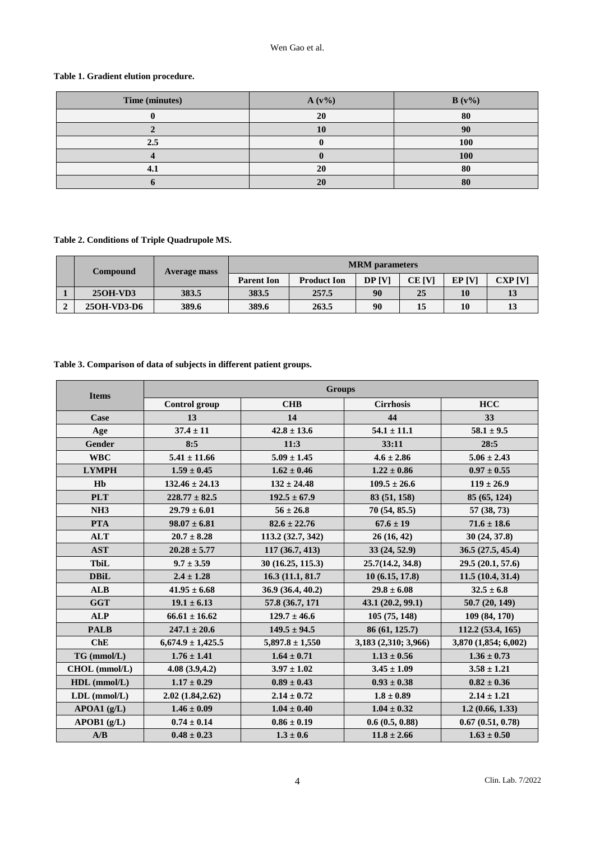## Wen Gao et al.

# **Table 1. Gradient elution procedure.**

| Time (minutes) | $A(v\%)$ | $B(v\%)$ |
|----------------|----------|----------|
|                | 20       | 80       |
|                |          | 90       |
| 2.5            |          | 100      |
|                |          | 100      |
|                | 20       | 80       |
|                | 20       | 80       |

## **Table 2. Conditions of Triple Quadrupole MS.**

|  | <b>Compound</b> | <b>Average mass</b> | <b>MRM</b> parameters |                    |               |        |                  |         |
|--|-----------------|---------------------|-----------------------|--------------------|---------------|--------|------------------|---------|
|  |                 |                     | <b>Parent Ion</b>     | <b>Product Ion</b> | <b>DP IVI</b> | CE IVI | EP <sub>IV</sub> | CXP [V] |
|  | 250H-VD3        | 383.5               | 383.5                 | 257.5              | 90            | 25     | 10               |         |
|  | 250H-VD3-D6     | 389.6               | 389.6                 | 263.5              | 90            |        | 10               |         |

## **Table 3. Comparison of data of subjects in different patient groups.**

| <b>Items</b>       | <b>Groups</b>         |                     |                      |                      |  |  |
|--------------------|-----------------------|---------------------|----------------------|----------------------|--|--|
|                    | <b>Control</b> group  | <b>CHB</b>          | <b>Cirrhosis</b>     | <b>HCC</b>           |  |  |
| Case               | 13                    | 14                  | 44                   | 33                   |  |  |
| Age                | $37.4 \pm 11$         | $42.8 \pm 13.6$     | $54.1 \pm 11.1$      | $58.1 \pm 9.5$       |  |  |
| Gender             | 8:5                   | 11:3                | 33:11                | 28:5                 |  |  |
| <b>WBC</b>         | $5.41 \pm 11.66$      | $5.09 \pm 1.45$     | $4.6 \pm 2.86$       | $5.06 \pm 2.43$      |  |  |
| <b>LYMPH</b>       | $1.59 \pm 0.45$       | $1.62 \pm 0.46$     | $1.22 \pm 0.86$      | $0.97 \pm 0.55$      |  |  |
| H <sub>b</sub>     | $132.46 \pm 24.13$    | $132 \pm 24.48$     | $109.5 \pm 26.6$     | $119 \pm 26.9$       |  |  |
| <b>PLT</b>         | $228.77 \pm 82.5$     | $192.5 \pm 67.9$    | 83 (51, 158)         | 85 (65, 124)         |  |  |
| NH <sub>3</sub>    | $29.79 \pm 6.01$      | $56 \pm 26.8$       | 70(54, 85.5)         | 57(38, 73)           |  |  |
| <b>PTA</b>         | $98.07 \pm 6.81$      | $82.6 \pm 22.76$    | $67.6 \pm 19$        | $71.6 \pm 18.6$      |  |  |
| <b>ALT</b>         | $20.7 \pm 8.28$       | 113.2 (32.7, 342)   | 26(16, 42)           | 30(24, 37.8)         |  |  |
| <b>AST</b>         | $20.28 \pm 5.77$      | 117 (36.7, 413)     | 33 (24, 52.9)        | 36.5 (27.5, 45.4)    |  |  |
| <b>TbiL</b>        | $9.7 \pm 3.59$        | 30 (16.25, 115.3)   | 25.7(14.2, 34.8)     | 29.5(20.1, 57.6)     |  |  |
| <b>DBiL</b>        | $2.4 \pm 1.28$        | 16.3 (11.1, 81.7)   | 10(6.15, 17.8)       | 11.5(10.4, 31.4)     |  |  |
| <b>ALB</b>         | $41.95 \pm 6.68$      | 36.9 (36.4, 40.2)   | $29.8 \pm 6.08$      | $32.5 \pm 6.8$       |  |  |
| <b>GGT</b>         | $19.1 \pm 6.13$       | 57.8 (36.7, 171)    | 43.1(20.2, 99.1)     | 50.7(20, 149)        |  |  |
| <b>ALP</b>         | $66.61 \pm 16.62$     | $129.7 \pm 46.6$    | 105(75, 148)         | 109 (84, 170)        |  |  |
| <b>PALB</b>        | $247.1 \pm 20.6$      | $149.5 \pm 94.5$    | 86 (61, 125.7)       | 112.2(53.4, 165)     |  |  |
| ChE                | $6,674.9 \pm 1,425.5$ | $5,897.8 \pm 1,550$ | 3,183 (2,310; 3,966) | 3,870 (1,854; 6,002) |  |  |
| $TG$ (mmol/L)      | $1.76 \pm 1.41$       | $1.64 \pm 0.71$     | $1.13 \pm 0.56$      | $1.36 \pm 0.73$      |  |  |
| CHOL (mmol/L)      | 4.08(3.9, 4.2)        | $3.97 \pm 1.02$     | $3.45 \pm 1.09$      | $3.58 \pm 1.21$      |  |  |
| $HDL$ (mmol/L)     | $1.17 \pm 0.29$       | $0.89 \pm 0.43$     | $0.93 \pm 0.38$      | $0.82 \pm 0.36$      |  |  |
| $LDL$ (mmol/ $L$ ) | 2.02(1.84, 2.62)      | $2.14 \pm 0.72$     | $1.8 \pm 0.89$       | $2.14 \pm 1.21$      |  |  |
| APOA1(g/L)         | $1.46 \pm 0.09$       | $1.04 \pm 0.40$     | $1.04 \pm 0.32$      | 1.2(0.66, 1.33)      |  |  |
| APOB1(g/L)         | $0.74 \pm 0.14$       | $0.86 \pm 0.19$     | 0.6(0.5, 0.88)       | 0.67(0.51, 0.78)     |  |  |
| A/B                | $0.48 \pm 0.23$       | $1.3 \pm 0.6$       | $11.8 \pm 2.66$      | $1.63 \pm 0.50$      |  |  |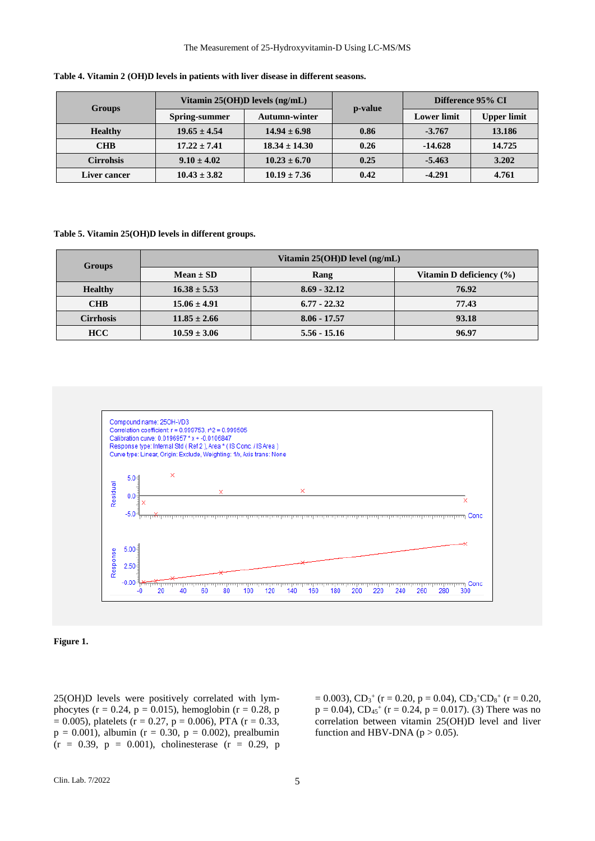#### The Measurement of 25-Hydroxyvitamin-D Using LC-MS/MS

| <b>Groups</b>    | Vitamin $25(OH)D$ levels $(ng/mL)$ |                      | p-value | Difference 95% CI  |                    |
|------------------|------------------------------------|----------------------|---------|--------------------|--------------------|
|                  | <b>Spring-summer</b>               | <b>Autumn-winter</b> |         | <b>Lower</b> limit | <b>Upper limit</b> |
| <b>Healthy</b>   | $19.65 \pm 4.54$                   | $14.94 \pm 6.98$     | 0.86    | $-3.767$           | 13.186             |
| <b>CHB</b>       | $17.22 \pm 7.41$                   | $18.34 \pm 14.30$    | 0.26    | $-14.628$          | 14.725             |
| <b>Cirrohsis</b> | $9.10 \pm 4.02$                    | $10.23 \pm 6.70$     | 0.25    | $-5.463$           | 3.202              |
| Liver cancer     | $10.43 \pm 3.82$                   | $10.19 \pm 7.36$     | 0.42    | $-4.291$           | 4.761              |

**Table 4. Vitamin 2 (OH)D levels in patients with liver disease in different seasons.**

### **Table 5. Vitamin 25(OH)D levels in different groups.**

| Groups           | Vitamin $25(OH)D$ level (ng/mL) |                |                              |  |
|------------------|---------------------------------|----------------|------------------------------|--|
|                  | $Mean \pm SD$                   | Rang           | Vitamin D deficiency $(\% )$ |  |
| <b>Healthy</b>   | $16.38 \pm 5.53$                | $8.69 - 32.12$ | 76.92                        |  |
| <b>CHB</b>       | $15.06 \pm 4.91$                | $6.77 - 22.32$ | 77.43                        |  |
| <b>Cirrhosis</b> | $11.85 \pm 2.66$                | $8.06 - 17.57$ | 93.18                        |  |
| <b>HCC</b>       | $10.59 \pm 3.06$                | $5.56 - 15.16$ | 96.97                        |  |



## **Figure 1.**

25(OH)D levels were positively correlated with lymphocytes ( $r = 0.24$ ,  $p = 0.015$ ), hemoglobin ( $r = 0.28$ , p  $= 0.005$ ), platelets (r = 0.27, p = 0.006), PTA (r = 0.33,  $p = 0.001$ ), albumin (r = 0.30, p = 0.002), prealbumin  $(r = 0.39, p = 0.001)$ , cholinesterase  $(r = 0.29, p$ 

 $= 0.003$ ),  $CD_3^+$  (r = 0.20, p = 0.04),  $CD_3^+CD_8^+$  (r = 0.20,  $p = 0.04$ ),  $CD_{45}$ <sup>+</sup> (r = 0.24, p = 0.017). (3) There was no correlation between vitamin 25(OH)D level and liver function and HBV-DNA ( $p > 0.05$ ).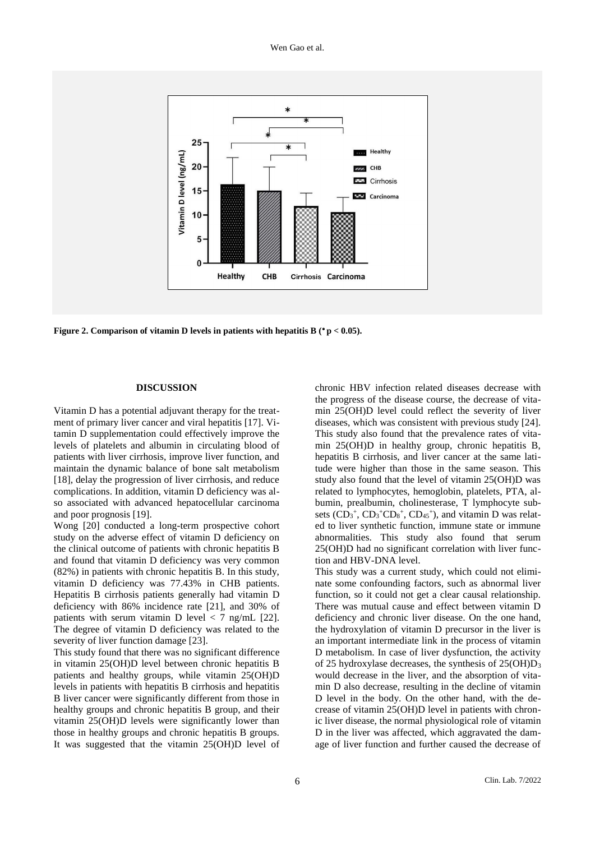Wen Gao et al.



**Figure 2. Comparison of vitamin D levels in patients with hepatitis B ( p < 0.05).**

## **DISCUSSION**

Vitamin D has a potential adjuvant therapy for the treatment of primary liver cancer and viral hepatitis [17]. Vitamin D supplementation could effectively improve the levels of platelets and albumin in circulating blood of patients with liver cirrhosis, improve liver function, and maintain the dynamic balance of bone salt metabolism [18], delay the progression of liver cirrhosis, and reduce complications. In addition, vitamin D deficiency was also associated with advanced hepatocellular carcinoma and poor prognosis [19].

Wong [20] conducted a long-term prospective cohort study on the adverse effect of vitamin D deficiency on the clinical outcome of patients with chronic hepatitis B and found that vitamin D deficiency was very common (82%) in patients with chronic hepatitis B. In this study, vitamin D deficiency was 77.43% in CHB patients. Hepatitis B cirrhosis patients generally had vitamin D deficiency with 86% incidence rate [21], and 30% of patients with serum vitamin D level  $\langle 7 \text{ ng/mL} [22]$ . The degree of vitamin D deficiency was related to the severity of liver function damage [23].

This study found that there was no significant difference in vitamin 25(OH)D level between chronic hepatitis B patients and healthy groups, while vitamin 25(OH)D levels in patients with hepatitis B cirrhosis and hepatitis B liver cancer were significantly different from those in healthy groups and chronic hepatitis B group, and their vitamin 25(OH)D levels were significantly lower than those in healthy groups and chronic hepatitis B groups. It was suggested that the vitamin 25(OH)D level of chronic HBV infection related diseases decrease with the progress of the disease course, the decrease of vitamin 25(OH)D level could reflect the severity of liver diseases, which was consistent with previous study [24]. This study also found that the prevalence rates of vitamin 25(OH)D in healthy group, chronic hepatitis B, hepatitis B cirrhosis, and liver cancer at the same latitude were higher than those in the same season. This study also found that the level of vitamin 25(OH)D was related to lymphocytes, hemoglobin, platelets, PTA, albumin, prealbumin, cholinesterase, T lymphocyte subsets  $(CD_3^+$ ,  $CD_3^+CD_8^+$ ,  $CD_{45}^+$ ), and vitamin D was related to liver synthetic function, immune state or immune abnormalities. This study also found that serum 25(OH)D had no significant correlation with liver function and HBV-DNA level.

This study was a current study, which could not eliminate some confounding factors, such as abnormal liver function, so it could not get a clear causal relationship. There was mutual cause and effect between vitamin D deficiency and chronic liver disease. On the one hand, the hydroxylation of vitamin D precursor in the liver is an important intermediate link in the process of vitamin D metabolism. In case of liver dysfunction, the activity of 25 hydroxylase decreases, the synthesis of  $25(OH)D<sub>3</sub>$ would decrease in the liver, and the absorption of vitamin D also decrease, resulting in the decline of vitamin D level in the body. On the other hand, with the decrease of vitamin 25(OH)D level in patients with chronic liver disease, the normal physiological role of vitamin D in the liver was affected, which aggravated the damage of liver function and further caused the decrease of